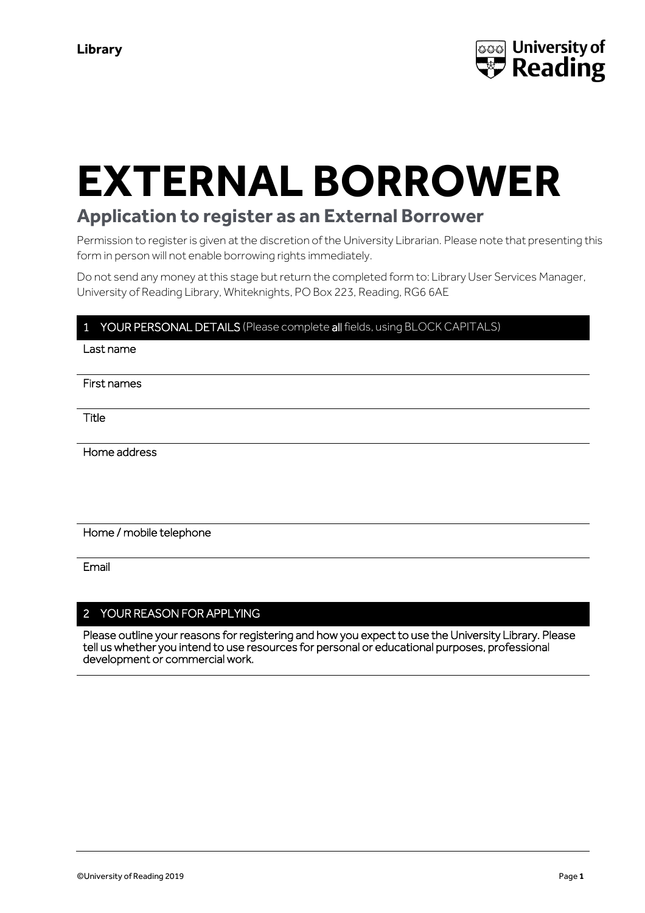

# **EXTERNAL BORROWER**

# **Application to register as an External Borrower**

Permission to register is given at the discretion of the University Librarian. Please note that presenting this form in person will not enable borrowing rights immediately.

Do not send any money at this stage but return the completed form to: Library User Services Manager, University of Reading Library, Whiteknights, PO Box 223, Reading, RG6 6AE

# YOUR PERSONAL DETAILS (Please complete all fields, using BLOCK CAPITALS)

Last name

First names

Title

Home address

Home / mobile telephone

Email

# 2 YOUR REASON FOR APPLYING

Please outline your reasons for registering and how you expect to use the University Library. Please tell us whether you intend to use resources for personal or educational purposes, professional development or commercial work.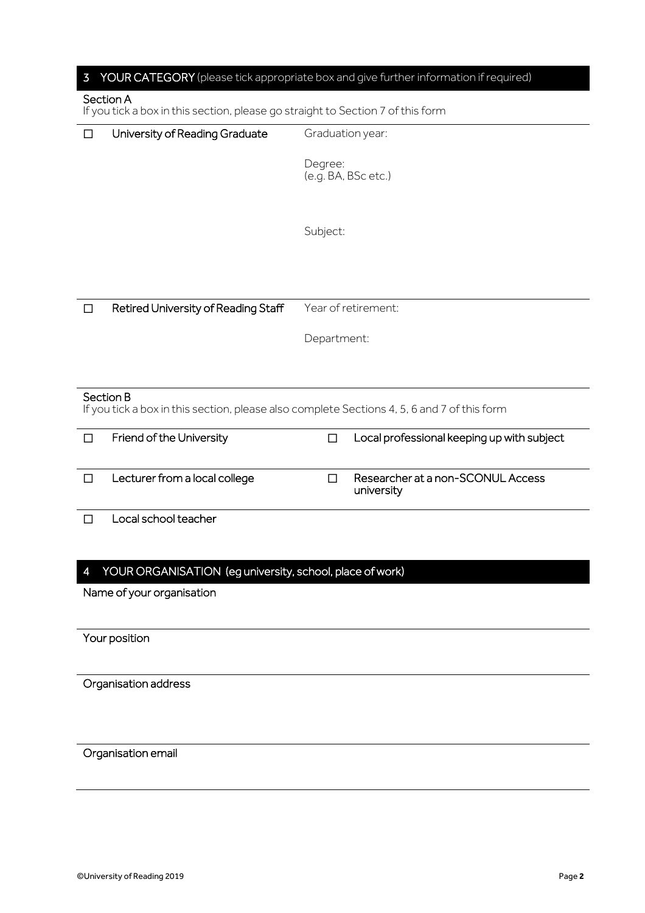| 3                                                                                                        | YOUR CATEGORY (please tick appropriate box and give further information if required) |  |  |  |  |
|----------------------------------------------------------------------------------------------------------|--------------------------------------------------------------------------------------|--|--|--|--|
| Section A<br>If you tick a box in this section, please go straight to Section 7 of this form             |                                                                                      |  |  |  |  |
| University of Reading Graduate<br>$\Box$                                                                 | Graduation year:                                                                     |  |  |  |  |
|                                                                                                          | Degree:<br>(e.g. BA, BSc etc.)                                                       |  |  |  |  |
|                                                                                                          | Subject:                                                                             |  |  |  |  |
|                                                                                                          |                                                                                      |  |  |  |  |
| Retired University of Reading Staff<br>$\Box$                                                            | Year of retirement:                                                                  |  |  |  |  |
|                                                                                                          | Department:                                                                          |  |  |  |  |
| Section B<br>If you tick a box in this section, please also complete Sections 4, 5, 6 and 7 of this form |                                                                                      |  |  |  |  |
| Friend of the University<br>$\Box$                                                                       | Local professional keeping up with subject<br>П                                      |  |  |  |  |
| Lecturer from a local college<br>$\Box$                                                                  | Researcher at a non-SCONUL Access<br>П<br>university                                 |  |  |  |  |
| Local school teacher<br>$\Box$                                                                           |                                                                                      |  |  |  |  |
| YOUR ORGANISATION (eg university, school, place of work)<br>4                                            |                                                                                      |  |  |  |  |
| Name of your organisation                                                                                |                                                                                      |  |  |  |  |
| Your position                                                                                            |                                                                                      |  |  |  |  |
| Organisation address                                                                                     |                                                                                      |  |  |  |  |
| Organisation email                                                                                       |                                                                                      |  |  |  |  |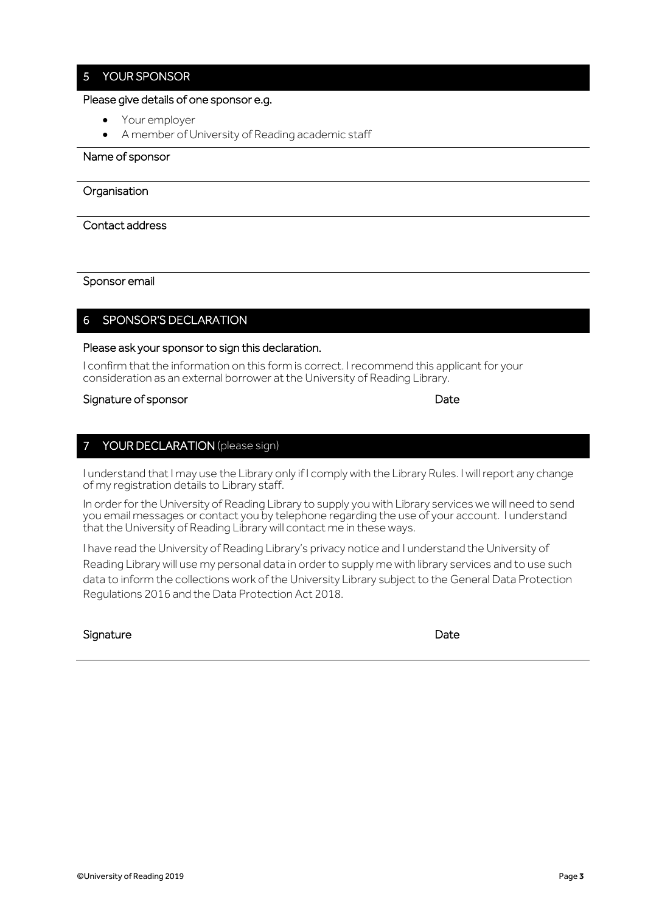# 5 YOUR SPONSOR

#### Please give details of one sponsor e.g.

- Your employer
- A member of University of Reading academic staff

#### Name of sponsor

#### **Organisation**

#### Contact address

Sponsor email

# 6 SPONSOR'S DECLARATION

#### Please ask your sponsor to sign this declaration.

I confirm that the information on this form is correct. I recommend this applicant for your consideration as an external borrower at the University of Reading Library.

#### Signature of sponsor and the state of sponsor Date

# 7 YOUR DECLARATION (please sign)

I understand that I may use the Library only if I comply with the Library Rules. I will report any change of my registration details to Library staff.

In order for the University of Reading Library to supply you with Library services we will need to send you email messages or contact you by telephone regarding the use of your account. I understand that the University of Reading Library will contact me in these ways.

I have read the University of Reading Library's privacy notice and I understand the University of Reading Library will use my personal data in order to supply me with library services and to use such data to inform the collections work of the University Library subject to the General Data Protection Regulations 2016 and the Data Protection Act 2018.

#### Signature Date Date Communications and the Date Date Date